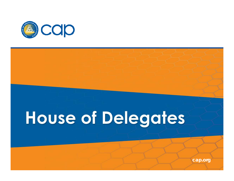

# **House of Delegates**

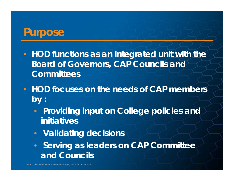### **Purpose**

- **HOD functions as an integrated unit with the Board of Governors, CAP Councils and Committees**
- **HOD focuses on the needs of CAP members by :**
	- $\bigcirc$  **Providing input on College policies and initiatives**
	- **Validating decisions**
	- **Serving as leaders on CAP Committee and Councils**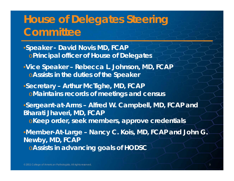## **House of Delegates Steering Committee**

•**Speaker - David Novis MD, FCAP** <sup>o</sup>**Principal officer of House of Delegates** •**Vice Speaker – Rebecca L. Johnson, MD, FCAP** <sup>o</sup>**Assists in the duties of the Speaker** •**Secretary – Arthur McTighe, MD, FCAP** <sup>o</sup>**Maintains records of meetings and census** •**Sergeant-at-Arms – Alfred W. Campbell, MD, FCAP and Bharati Jhaveri, MD, FCAP** <sup>o</sup>**Keep order, seek members, approve credentials** •**Member-At-Large – Nancy C. Kois, MD, FCAP and John G. Newby, MD, FCAP** <sup>o</sup>**Assists in advancing goals of HODSC**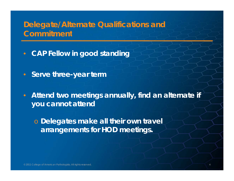#### **Delegate/Alternate Qualifications and Commitment**

- $\bullet$ **• CAP Fellow in good standing**
- $\bullet$ **Serve three-year term**
- $\bullet$  **Attend two meetings annually, find an alternate if you t tt d cannot atten**

o *Dele gates make all their own travel arrangements for HOD meetings.*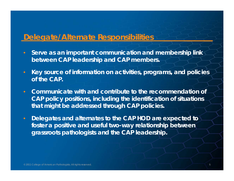#### **Delegate/Alternate Responsibilities**

- **Serve as an important communication and membership link between CAP leadership and CAP members.**
- **Key source of information on activities, programs, and policies of the CAP CAP.**
- $\bullet$  **Communicate with and contribute to the recommendation of CAP p yp g olic y positions, includin g the identification of situations that might be addressed through CAP policies.**
- **Delegates and alternates to the CAP HOD are expected to foster a positive and useful two -way relationship between grassroots pathologists and the CAP leadership.**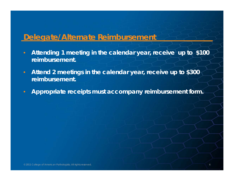#### **Delegate/Alternate Reimbursement**

- **Attending 1 meeting in the calendar year, receive up to \$100 reimbursement.**
- **Attend 2 meetings in the calendar year, receive up to \$300 reimbursement.**
- **Appropriate receipts must accompany reimbursement form.**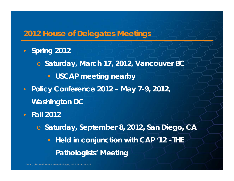#### **2012 House of Delegates Meetings**

- $\bullet$  **Spring 2012**
	- o **Saturday, March 17, 2012, Vancouver BC**
		- **E** USCAP meeting nearby
- $\bullet$  **Policy Conference 2012 – May 7-9, 2012, Washington DC**
- **Fall 2012**
	- o **Saturday, September 8, 2012, San Diego, CA Held in conjunction with CAP '12 –THE Pathologists' Meeting**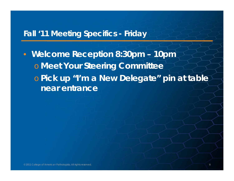#### **Fall '11 Meeting Specifics - Friday**

• **Welcome Reception 8:30pm – 10pm** o **Meet Your Steering Committee o Pick up "I'm a New Delegate" pin at table near entrance**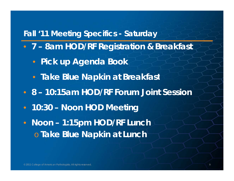#### **Fall '11 Meeting Specifics - Saturday**

- **7 – 8am HOD/RF Registration & Breakfast**
	- **Pick up Agenda Book**
	- **Take Blue Napkin at Breakfast**
- **8 – 10:15am HOD/RF Forum Joint Session**
- **10:30 – Noon HOD Meeting**
- $\bullet$  **Noon – 1:15pm HOD/RF Lunch** o **Take Blue Napkin at Lunch**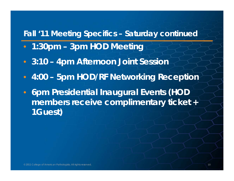#### **Fall '11 Meeting Specifics – Saturday continued**

- **1:30pm – 3pm HOD Meeting**
- **3:10 – 4pm Afternoon Joint Session**
- **4:00 – 5pm HOD/RF Networking Reception**
- $\bullet$  **6pm Presidential Inaugural Events (HOD members receive complimentary ticket + 1Guest)**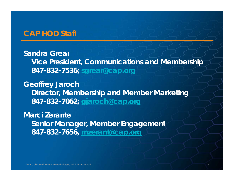#### **CAP HOD Staff**

**Sandra GrearVice President, Communications and Membership 847-832-7536; sgrear@cap.org**

**Geoffrey Jaroch Director, Membership and Member Marketing 847-832-7062; gjaroch@cap org gjaroch@cap.org**

**Marci ZeranteSenior Manager, Member Engagement 847-832-7656, mzerant@cap.org**